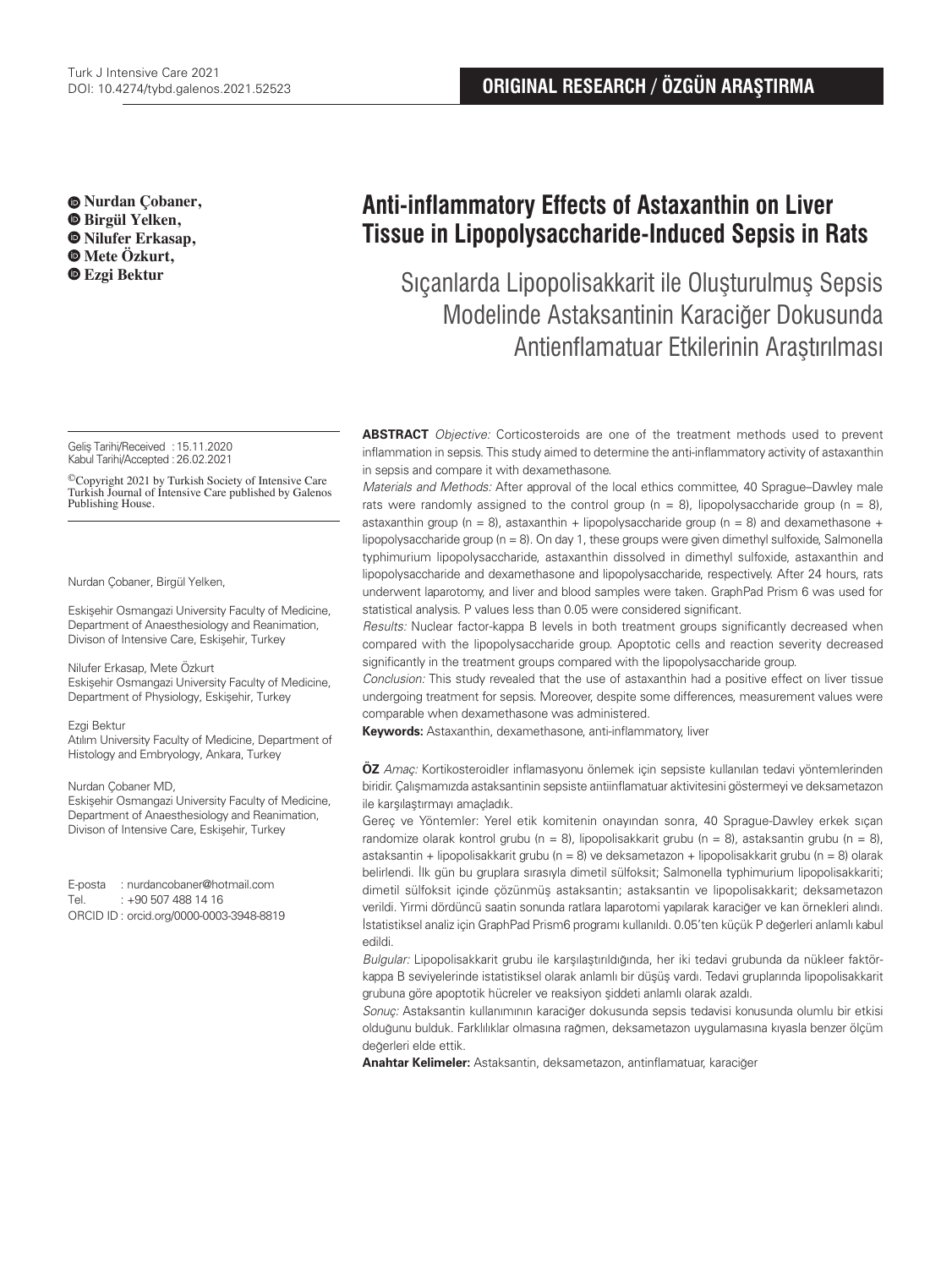**Nurdan Çobaner, Birgül Yelken, Nilufer Erkasap, Mete Özkurt,** 

Geliş Tarihi/Received :15.11.2020 Kabul Tarihi/Accepted :26.02.2021

©Copyright 2021 by Turkish Society of Intensive Care Turkish Journal of Intensive Care published by Galenos Publishing House.

Nurdan Çobaner, Birgül Yelken,

Eskişehir Osmangazi University Faculty of Medicine, Department of Anaesthesiology and Reanimation, Divison of Intensive Care, Eskişehir, Turkey

#### Nilufer Erkasap, Mete Özkurt

Eskişehir Osmangazi University Faculty of Medicine, Department of Physiology, Eskişehir, Turkey

#### Ezgi Bektur

Atılım University Faculty of Medicine, Department of Histology and Embryology, Ankara, Turkey

#### Nurdan Çobaner MD,

Eskişehir Osmangazi University Faculty of Medicine, Department of Anaesthesiology and Reanimation, Divison of Intensive Care, Eskişehir, Turkey

E-posta : nurdancobaner@hotmail.com Tel. : +90 507 488 14 16 ORCID ID : orcid.org/0000-0003-3948-8819

# **Anti-inflammatory Effects of Astaxanthin on Liver Tissue in Lipopolysaccharide-Induced Sepsis in Rats**

 **Ezgi Bektur** Sıçanlarda Lipopolisakkarit ile Oluşturulmuş Sepsis Modelinde Astaksantinin Karaciğer Dokusunda Antienflamatuar Etkilerinin Araştırılması

> **ABSTRACT** Objective: Corticosteroids are one of the treatment methods used to prevent inflammation in sepsis. This study aimed to determine the anti-inflammatory activity of astaxanthin in sepsis and compare it with dexamethasone.

> Materials and Methods: After approval of the local ethics committee, 40 Sprague–Dawley male rats were randomly assigned to the control group ( $n = 8$ ), lipopolysaccharide group ( $n = 8$ ), astaxanthin group (n = 8), astaxanthin + lipopolysaccharide group (n = 8) and dexamethasone + lipopolysaccharide group ( $n = 8$ ). On day 1, these groups were given dimethyl sulfoxide, Salmonella typhimurium lipopolysaccharide, astaxanthin dissolved in dimethyl sulfoxide, astaxanthin and lipopolysaccharide and dexamethasone and lipopolysaccharide, respectively. After 24 hours, rats underwent laparotomy, and liver and blood samples were taken. GraphPad Prism 6 was used for statistical analysis. P values less than 0.05 were considered significant.

> Results: Nuclear factor-kappa B levels in both treatment groups significantly decreased when compared with the lipopolysaccharide group. Apoptotic cells and reaction severity decreased significantly in the treatment groups compared with the lipopolysaccharide group.

> Conclusion: This study revealed that the use of astaxanthin had a positive effect on liver tissue undergoing treatment for sepsis. Moreover, despite some differences, measurement values were comparable when dexamethasone was administered.

**Keywords:** Astaxanthin, dexamethasone, anti-inflammatory, liver

**ÖZ** Amaç: Kortikosteroidler inflamasyonu önlemek için sepsiste kullanılan tedavi yöntemlerinden biridir. Çalışmamızda astaksantinin sepsiste antiinflamatuar aktivitesini göstermeyi ve deksametazon ile karşılaştırmayı amaçladık.

Gereç ve Yöntemler: Yerel etik komitenin onayından sonra, 40 Sprague-Dawley erkek sıçan randomize olarak kontrol grubu (n = 8), lipopolisakkarit grubu (n = 8), astaksantin grubu (n = 8), astaksantin + lipopolisakkarit grubu (n = 8) ve deksametazon + lipopolisakkarit grubu (n = 8) olarak belirlendi. İlk gün bu gruplara sırasıyla dimetil sülfoksit; Salmonella typhimurium lipopolisakkariti; dimetil sülfoksit içinde çözünmüş astaksantin; astaksantin ve lipopolisakkarit; deksametazon verildi. Yirmi dördüncü saatin sonunda ratlara laparotomi yapılarak karaciğer ve kan örnekleri alındı. İstatistiksel analiz için GraphPad Prism6 programı kullanıldı. 0.05'ten küçük P değerleri anlamlı kabul edildi.

Bulgular: Lipopolisakkarit grubu ile karşılaştırıldığında, her iki tedavi grubunda da nükleer faktörkappa B seviyelerinde istatistiksel olarak anlamlı bir düşüş vardı. Tedavi gruplarında lipopolisakkarit grubuna göre apoptotik hücreler ve reaksiyon şiddeti anlamlı olarak azaldı.

Sonuç: Astaksantin kullanımının karaciğer dokusunda sepsis tedavisi konusunda olumlu bir etkisi olduğunu bulduk. Farklılıklar olmasına rağmen, deksametazon uygulamasına kıyasla benzer ölçüm değerleri elde ettik.

**Anahtar Kelimeler:** Astaksantin, deksametazon, antinflamatuar, karaciğer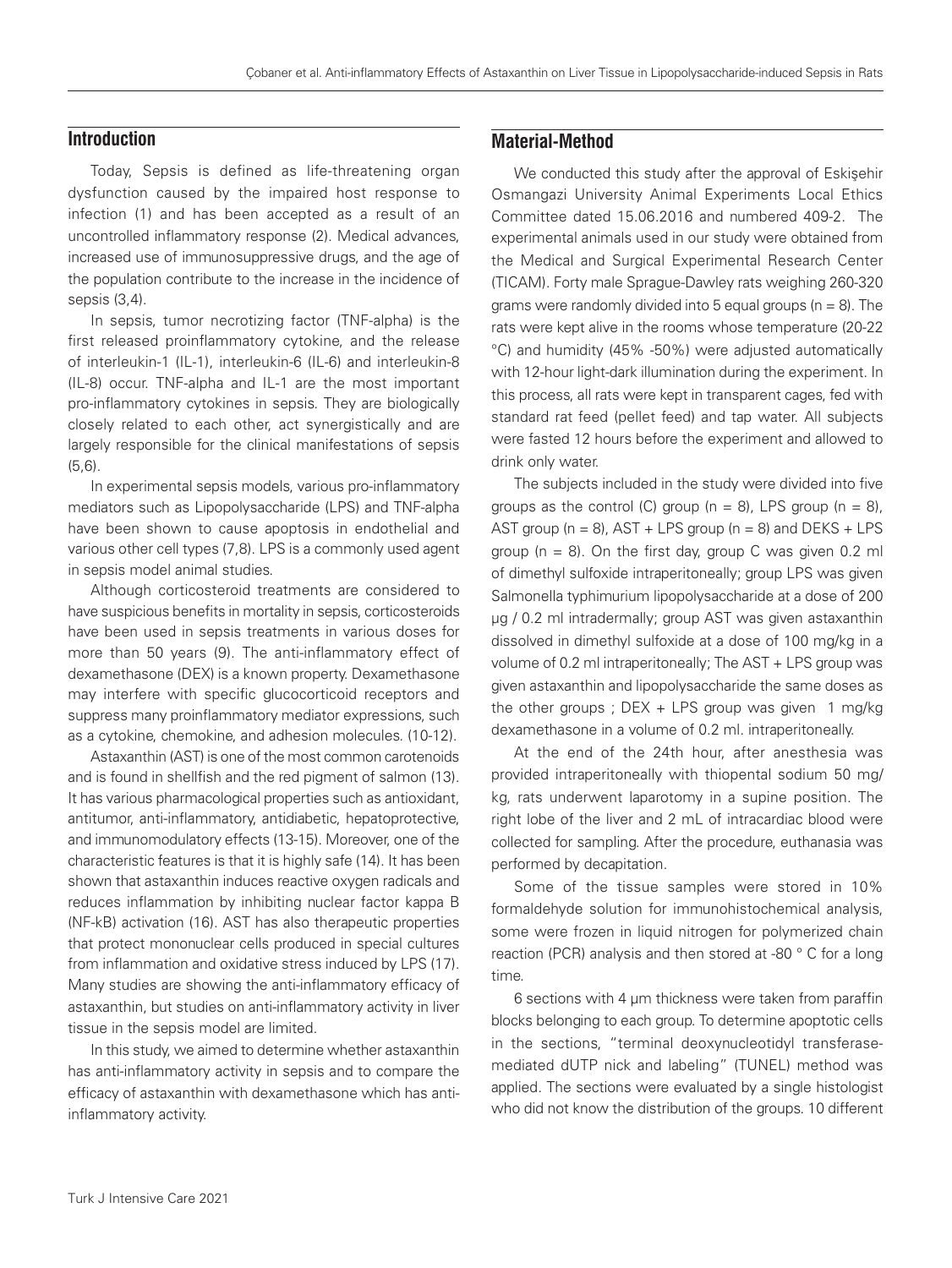# **Introduction**

Today, Sepsis is defined as life-threatening organ dysfunction caused by the impaired host response to infection (1) and has been accepted as a result of an uncontrolled inflammatory response (2). Medical advances, increased use of immunosuppressive drugs, and the age of the population contribute to the increase in the incidence of sepsis (3,4).

In sepsis, tumor necrotizing factor (TNF-alpha) is the first released proinflammatory cytokine, and the release of interleukin-1 (IL-1), interleukin-6 (IL-6) and interleukin-8 (IL-8) occur. TNF-alpha and IL-1 are the most important pro-inflammatory cytokines in sepsis. They are biologically closely related to each other, act synergistically and are largely responsible for the clinical manifestations of sepsis (5,6).

In experimental sepsis models, various pro-inflammatory mediators such as Lipopolysaccharide (LPS) and TNF-alpha have been shown to cause apoptosis in endothelial and various other cell types (7,8). LPS is a commonly used agent in sepsis model animal studies.

Although corticosteroid treatments are considered to have suspicious benefits in mortality in sepsis, corticosteroids have been used in sepsis treatments in various doses for more than 50 years (9). The anti-inflammatory effect of dexamethasone (DEX) is a known property. Dexamethasone may interfere with specific glucocorticoid receptors and suppress many proinflammatory mediator expressions, such as a cytokine, chemokine, and adhesion molecules. (10-12).

Astaxanthin (AST) is one of the most common carotenoids and is found in shellfish and the red pigment of salmon (13). It has various pharmacological properties such as antioxidant, antitumor, anti-inflammatory, antidiabetic, hepatoprotective, and immunomodulatory effects (13-15). Moreover, one of the characteristic features is that it is highly safe (14). It has been shown that astaxanthin induces reactive oxygen radicals and reduces inflammation by inhibiting nuclear factor kappa B (NF-kB) activation (16). AST has also therapeutic properties that protect mononuclear cells produced in special cultures from inflammation and oxidative stress induced by LPS (17). Many studies are showing the anti-inflammatory efficacy of astaxanthin, but studies on anti-inflammatory activity in liver tissue in the sepsis model are limited.

In this study, we aimed to determine whether astaxanthin has anti-inflammatory activity in sepsis and to compare the efficacy of astaxanthin with dexamethasone which has antiinflammatory activity.

# **Material-Method**

We conducted this study after the approval of Eskisehir Osmangazi University Animal Experiments Local Ethics Committee dated 15.06.2016 and numbered 409-2. The experimental animals used in our study were obtained from the Medical and Surgical Experimental Research Center (TICAM). Forty male Sprague-Dawley rats weighing 260-320 grams were randomly divided into 5 equal groups ( $n = 8$ ). The rats were kept alive in the rooms whose temperature (20-22 °C) and humidity (45% -50%) were adjusted automatically with 12-hour light-dark illumination during the experiment. In this process, all rats were kept in transparent cages, fed with standard rat feed (pellet feed) and tap water. All subjects were fasted 12 hours before the experiment and allowed to drink only water.

The subjects included in the study were divided into five groups as the control (C) group ( $n = 8$ ), LPS group ( $n = 8$ ), AST group ( $n = 8$ ), AST + LPS group ( $n = 8$ ) and DEKS + LPS group ( $n = 8$ ). On the first day, group C was given 0.2 ml of dimethyl sulfoxide intraperitoneally; group LPS was given Salmonella typhimurium lipopolysaccharide at a dose of 200 µg / 0.2 ml intradermally; group AST was given astaxanthin dissolved in dimethyl sulfoxide at a dose of 100 mg/kg in a volume of 0.2 ml intraperitoneally; The AST + LPS group was given astaxanthin and lipopolysaccharide the same doses as the other groups ;  $DEX + LPS$  group was given 1 mg/kg dexamethasone in a volume of 0.2 ml. intraperitoneally.

At the end of the 24th hour, after anesthesia was provided intraperitoneally with thiopental sodium 50 mg/ kg, rats underwent laparotomy in a supine position. The right lobe of the liver and 2 mL of intracardiac blood were collected for sampling. After the procedure, euthanasia was performed by decapitation.

Some of the tissue samples were stored in 10% formaldehyde solution for immunohistochemical analysis, some were frozen in liquid nitrogen for polymerized chain reaction (PCR) analysis and then stored at -80 ° C for a long time.

6 sections with 4 µm thickness were taken from paraffin blocks belonging to each group. To determine apoptotic cells in the sections, "terminal deoxynucleotidyl transferasemediated dUTP nick and labeling" (TUNEL) method was applied. The sections were evaluated by a single histologist who did not know the distribution of the groups. 10 different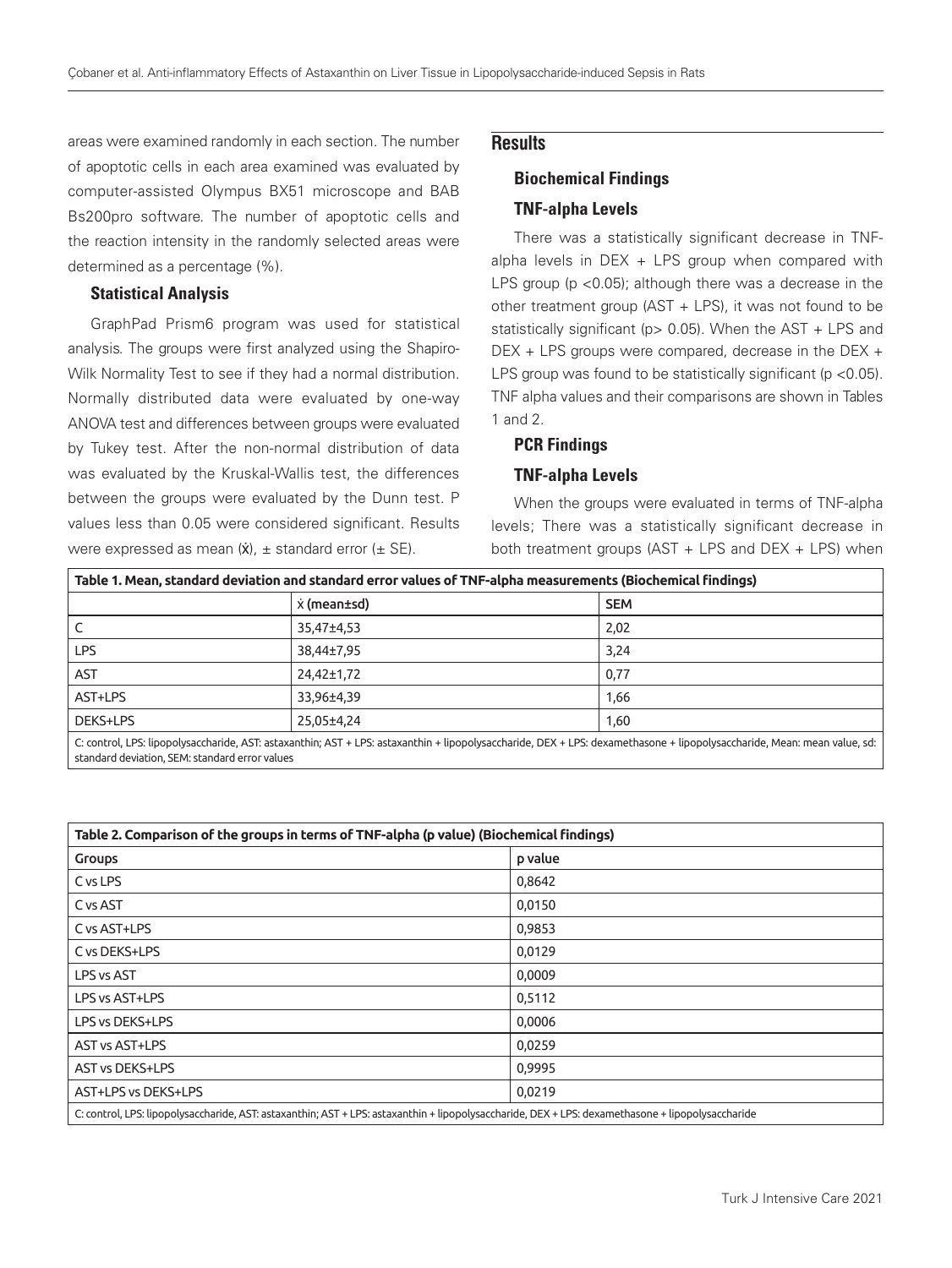areas were examined randomly in each section. The number of apoptotic cells in each area examined was evaluated by computer-assisted Olympus BX51 microscope and BAB Bs200pro software. The number of apoptotic cells and the reaction intensity in the randomly selected areas were determined as a percentage (%).

### Statistical Analysis

GraphPad Prism6 program was used for statistical analysis. The groups were first analyzed using the Shapiro-Wilk Normality Test to see if they had a normal distribution. Normally distributed data were evaluated by one-way ANOVA test and differences between groups were evaluated by Tukey test. After the non-normal distribution of data was evaluated by the Kruskal-Wallis test, the differences between the groups were evaluated by the Dunn test. P values less than 0.05 were considered significant. Results were expressed as mean  $(\dot{x})$ ,  $\pm$  standard error ( $\pm$  SE).

# **Results**

# Biochemical Findings TNF-alpha Levels

There was a statistically significant decrease in TNFalpha levels in  $DEX + LPS$  group when compared with LPS group (p <0.05); although there was a decrease in the other treatment group (AST + LPS), it was not found to be statistically significant ( $p$  > 0.05). When the AST + LPS and DEX + LPS groups were compared, decrease in the DEX + LPS group was found to be statistically significant ( $p < 0.05$ ). TNF alpha values and their comparisons are shown in Tables 1 and 2.

# PCR Findings

## TNF-alpha Levels

When the groups were evaluated in terms of TNF-alpha levels; There was a statistically significant decrease in both treatment groups (AST + LPS and DEX + LPS) when

| Table 1. Mean, standard deviation and standard error values of TNF-alpha measurements (Biochemical findings)                                                        |             |            |
|---------------------------------------------------------------------------------------------------------------------------------------------------------------------|-------------|------------|
|                                                                                                                                                                     | x (mean±sd) | <b>SEM</b> |
|                                                                                                                                                                     | 35.47±4.53  | 2,02       |
| LPS.                                                                                                                                                                | 38.44±7.95  | 3.24       |
| <b>AST</b>                                                                                                                                                          | 24,42±1,72  | 0,77       |
| AST+LPS                                                                                                                                                             | 33.96±4.39  | 1,66       |
| DEKS+LPS                                                                                                                                                            | 25.05±4.24  | 1,60       |
| C: control LPS: linopolysaccharide AST: astavanthin: AST + LPS: astavanthin + linopolysaccharide DEX + LPS: devamethasone + linopolysaccharide Mean; mean value sd; |             |            |

C: control, LPS: lipopolysaccharide, AST: astaxanthin; AST + LPS: astaxanthin + lipopolysaccharide, DEX + LPS: dexamethasone + lipopolysaccharide, Mean: mean value, sd: standard deviation, SEM: standard error values

| Table 2. Comparison of the groups in terms of TNF-alpha (p value) (Biochemical findings)                                                       |         |  |
|------------------------------------------------------------------------------------------------------------------------------------------------|---------|--|
| <b>Groups</b>                                                                                                                                  | p value |  |
| C vs LPS                                                                                                                                       | 0,8642  |  |
| C vs AST                                                                                                                                       | 0,0150  |  |
| C vs AST+LPS                                                                                                                                   | 0,9853  |  |
| C vs DEKS+LPS                                                                                                                                  | 0,0129  |  |
| LPS vs AST                                                                                                                                     | 0,0009  |  |
| LPS vs AST+LPS                                                                                                                                 | 0,5112  |  |
| LPS vs DEKS+LPS                                                                                                                                | 0,0006  |  |
| AST vs AST+LPS                                                                                                                                 | 0,0259  |  |
| <b>AST vs DEKS+LPS</b>                                                                                                                         | 0,9995  |  |
| AST+LPS vs DEKS+LPS                                                                                                                            | 0,0219  |  |
| C: control LDS: linopolysaccharide AST: astavanthin: AST + LDS: astavanthin + linopolysaccharide DEX + LDS: devamethasone + linopolysaccharide |         |  |

C: control, LPS: lipopolysaccharide, AST: astaxanthin; AST + LPS: astaxanthin + lipopolysaccharide, DEX + LPS: de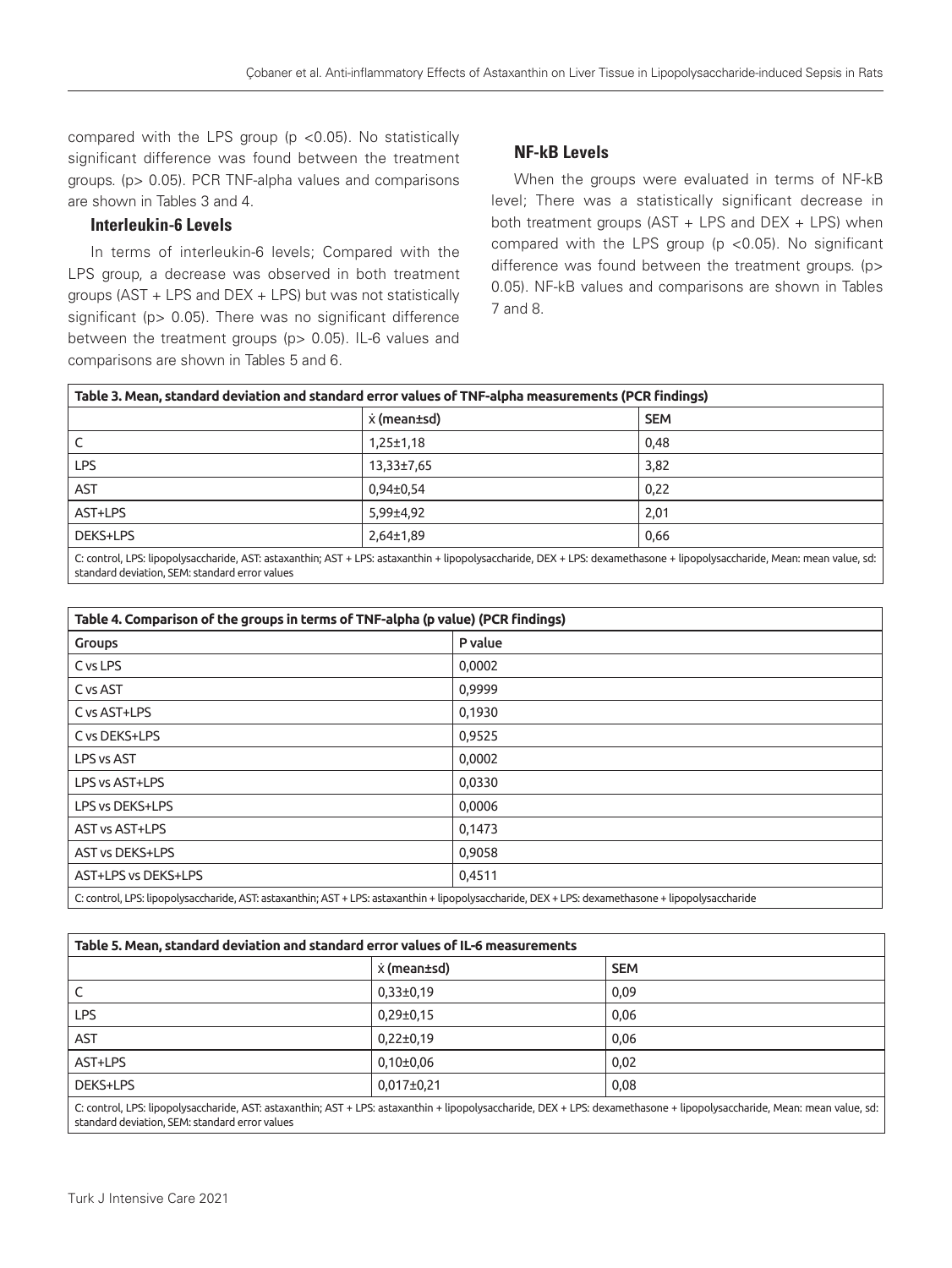compared with the LPS group ( $p$  <0.05). No statistically significant difference was found between the treatment groups. (p> 0.05). PCR TNF-alpha values and comparisons are shown in Tables 3 and 4.

## Interleukin-6 Levels

In terms of interleukin-6 levels; Compared with the LPS group, a decrease was observed in both treatment groups (AST + LPS and DEX + LPS) but was not statistically significant (p > 0.05). There was no significant difference between the treatment groups (p> 0.05). IL-6 values and comparisons are shown in Tables 5 and 6.

# NF-kB Levels

When the groups were evaluated in terms of NF-kB level; There was a statistically significant decrease in both treatment groups (AST + LPS and DEX + LPS) when compared with the LPS group ( $p$  <0.05). No significant difference was found between the treatment groups. (p> 0.05). NF-kB values and comparisons are shown in Tables 7 and 8.

| Table 3. Mean, standard deviation and standard error values of TNF-alpha measurements (PCR findings) |                 |                                                                                                                                                                         |
|------------------------------------------------------------------------------------------------------|-----------------|-------------------------------------------------------------------------------------------------------------------------------------------------------------------------|
|                                                                                                      | x (mean±sd)     | <b>SEM</b>                                                                                                                                                              |
|                                                                                                      | $1,25 \pm 1,18$ | 0,48                                                                                                                                                                    |
| <b>LPS</b>                                                                                           | $13,33\pm7,65$  | 3,82                                                                                                                                                                    |
| <b>AST</b>                                                                                           | $0.94 \pm 0.54$ | 0,22                                                                                                                                                                    |
| AST+LPS                                                                                              | 5,99±4,92       | 2,01                                                                                                                                                                    |
| DEKS+LPS                                                                                             | $2,64\pm1,89$   | 0,66                                                                                                                                                                    |
|                                                                                                      |                 | C: control LPS: lipopolysaccharide, AST: astaxanthin: AST + LPS: astaxanthin + lipopolysaccharide, DEX + LPS: dexamethasone + lipopolysaccharide, Mean: mean value, sd: |

C: control, LPS: lipopolysaccharide, AST: astaxanthin; AST + LPS: astaxanthin + lipopolysaccharide, DEX + LPS: dexamethasone + lipopolysaccharide, Mean: mean value, sd: standard deviation, SEM: standard error values

| Table 4. Comparison of the groups in terms of TNF-alpha (p value) (PCR findings)                                                                  |         |  |
|---------------------------------------------------------------------------------------------------------------------------------------------------|---------|--|
| <b>Groups</b>                                                                                                                                     | P value |  |
| C vs LPS                                                                                                                                          | 0,0002  |  |
| C vs AST                                                                                                                                          | 0,9999  |  |
| C vs AST+LPS                                                                                                                                      | 0,1930  |  |
| C vs DEKS+LPS                                                                                                                                     | 0,9525  |  |
| LPS vs AST                                                                                                                                        | 0,0002  |  |
| LPS vs AST+LPS                                                                                                                                    | 0,0330  |  |
| LPS vs DEKS+LPS                                                                                                                                   | 0,0006  |  |
| AST vs AST+LPS                                                                                                                                    | 0,1473  |  |
| <b>AST vs DEKS+LPS</b>                                                                                                                            | 0,9058  |  |
| AST+LPS vs DEKS+LPS                                                                                                                               | 0,4511  |  |
| C: control, LPS: lipopolysaccharide, AST: astaxanthin; AST + LPS: astaxanthin + lipopolysaccharide, DEX + LPS: dexamethasone + lipopolysaccharide |         |  |

| Table 5. Mean, standard deviation and standard error values of IL-6 measurements |                |                                                                                                                                                                          |  |
|----------------------------------------------------------------------------------|----------------|--------------------------------------------------------------------------------------------------------------------------------------------------------------------------|--|
|                                                                                  | x (mean±sd)    | <b>SEM</b>                                                                                                                                                               |  |
|                                                                                  | $0,33\pm0,19$  | 0,09                                                                                                                                                                     |  |
| <b>LPS</b>                                                                       | $0,29\pm0,15$  | 0,06                                                                                                                                                                     |  |
| AST                                                                              | $0,22\pm0,19$  | 0,06                                                                                                                                                                     |  |
| AST+LPS                                                                          | $0,10\pm0,06$  | 0,02                                                                                                                                                                     |  |
| DEKS+LPS                                                                         | $0,017\pm0,21$ | 0,08                                                                                                                                                                     |  |
| standard deviation, SEM: standard error values                                   |                | C: control, LPS: lipopolysaccharide, AST: astaxanthin; AST + LPS: astaxanthin + lipopolysaccharide, DEX + LPS: dexamethasone + lipopolysaccharide, Mean: mean value, sd: |  |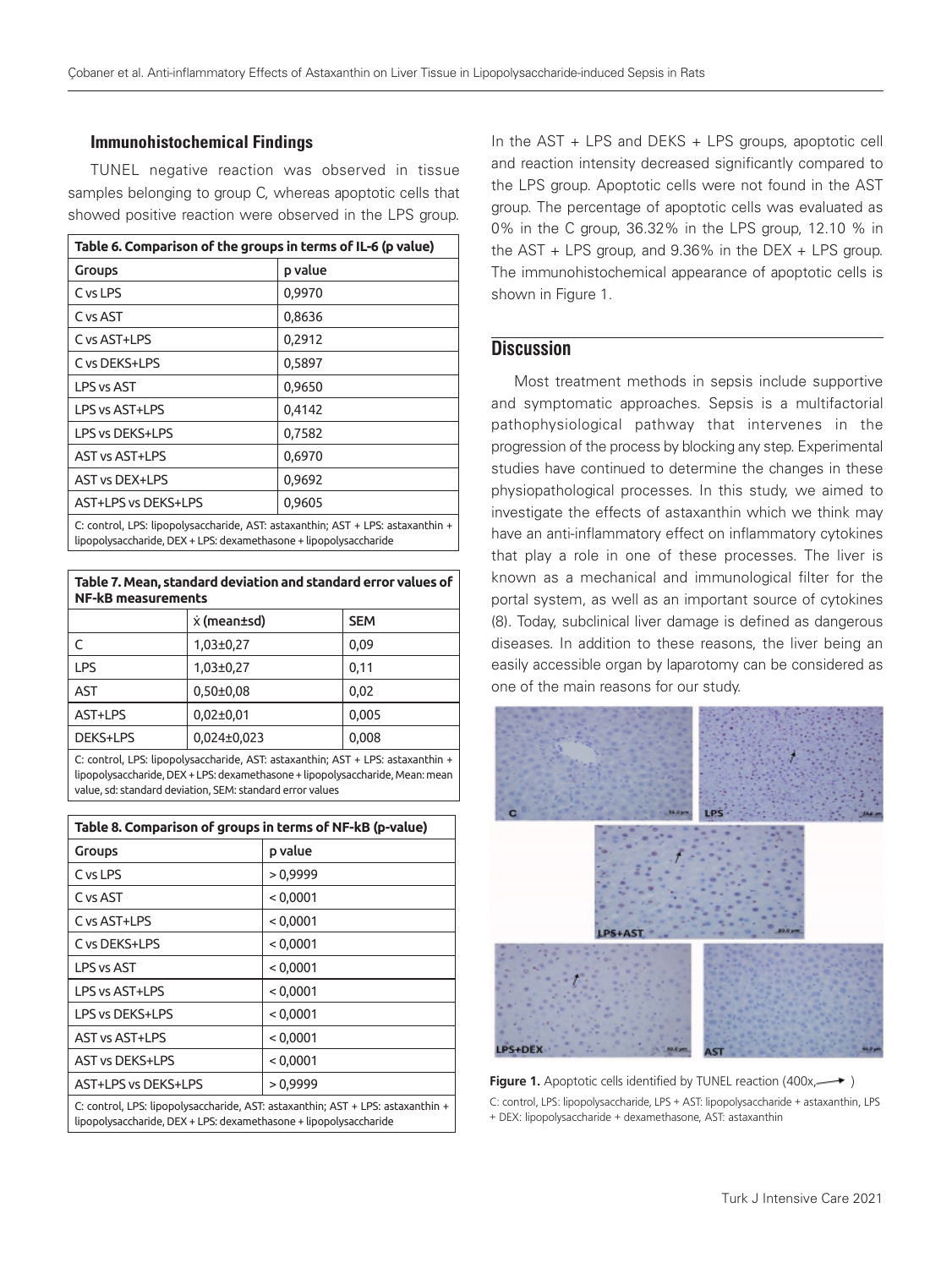#### Immunohistochemical Findings

TUNEL negative reaction was observed in tissue samples belonging to group C, whereas apoptotic cells that showed positive reaction were observed in the LPS group.

| Table 6. Comparison of the groups in terms of IL-6 (p value)                    |         |  |
|---------------------------------------------------------------------------------|---------|--|
| Groups                                                                          | p value |  |
| C vs LPS                                                                        | 0,9970  |  |
| C vs AST                                                                        | 0,8636  |  |
| C vs AST+LPS                                                                    | 0,2912  |  |
| C vs DEKS+LPS                                                                   | 0,5897  |  |
| LPS vs AST                                                                      | 0,9650  |  |
| LPS vs AST+LPS                                                                  | 0,4142  |  |
| LPS vs DEKS+LPS                                                                 | 0,7582  |  |
| <b>AST vs AST+LPS</b>                                                           | 0,6970  |  |
| <b>AST vs DEX+LPS</b>                                                           | 0,9692  |  |
| AST+LPS vs DEKS+LPS                                                             | 0,9605  |  |
| C: control, LPS: lipopolysaccharide, AST: astaxanthin; AST + LPS: astaxanthin + |         |  |

lipopolysaccharide, DEX + LPS: dexamethasone + lipopolysaccharide

#### **Table 7. Mean, standard deviation and standard error values of NF-kB measurements**

|            | x (mean±sd)   | <b>SEM</b> |
|------------|---------------|------------|
|            | $1,03\pm0,27$ | 0.09       |
| <b>LPS</b> | $1,03\pm0,27$ | 0.11       |
| AST        | $0,50\pm0.08$ | 0.02       |
| AST+LPS    | $0,02\pm0,01$ | 0,005      |
| DEKS+LPS   | 0,024±0,023   | 0,008      |

C: control, LPS: lipopolysaccharide, AST: astaxanthin; AST + LPS: astaxanthin + lipopolysaccharide, DEX + LPS: dexamethasone + lipopolysaccharide, Mean: mean value, sd: standard deviation, SEM: standard error values

| Table 8. Comparison of groups in terms of NF-kB (p-value)                                                                                            |          |  |
|------------------------------------------------------------------------------------------------------------------------------------------------------|----------|--|
| <b>Groups</b>                                                                                                                                        | p value  |  |
| C vs LPS                                                                                                                                             | >0,9999  |  |
| C vs AST                                                                                                                                             | < 0,0001 |  |
| C vs AST+LPS                                                                                                                                         | < 0,0001 |  |
| C vs DEKS+LPS                                                                                                                                        | < 0,0001 |  |
| <b>LPS vs AST</b>                                                                                                                                    | < 0,0001 |  |
| I PS vs AST+LPS                                                                                                                                      | < 0,0001 |  |
| I PS vs DFKS+I PS                                                                                                                                    | < 0,0001 |  |
| <b>AST vs AST+LPS</b>                                                                                                                                | < 0,0001 |  |
| <b>AST vs DEKS+LPS</b>                                                                                                                               | < 0,0001 |  |
| AST+LPS vs DEKS+LPS                                                                                                                                  | >0,9999  |  |
| C: control, LPS: lipopolysaccharide, AST: astaxanthin; AST + LPS: astaxanthin +<br>lipopolysaccharide, DEX + LPS: dexamethasone + lipopolysaccharide |          |  |

In the AST + LPS and DEKS + LPS groups, apoptotic cell and reaction intensity decreased significantly compared to the LPS group. Apoptotic cells were not found in the AST group. The percentage of apoptotic cells was evaluated as 0% in the C group, 36.32% in the LPS group, 12.10 % in the AST + LPS group, and 9.36% in the DEX + LPS group. The immunohistochemical appearance of apoptotic cells is shown in Figure 1.

# **Discussion**

Most treatment methods in sepsis include supportive and symptomatic approaches. Sepsis is a multifactorial pathophysiological pathway that intervenes in the progression of the process by blocking any step. Experimental studies have continued to determine the changes in these physiopathological processes. In this study, we aimed to investigate the effects of astaxanthin which we think may have an anti-inflammatory effect on inflammatory cytokines that play a role in one of these processes. The liver is known as a mechanical and immunological filter for the portal system, as well as an important source of cytokines (8). Today, subclinical liver damage is defined as dangerous diseases. In addition to these reasons, the liver being an easily accessible organ by laparotomy can be considered as one of the main reasons for our study.



**Figure 1.** Apoptotic cells identified by TUNEL reaction (400x,  $\longrightarrow$  ) C: control, LPS: lipopolysaccharide, LPS + AST: lipopolysaccharide + astaxanthin, LPS + DEX: lipopolysaccharide + dexamethasone, AST: astaxanthin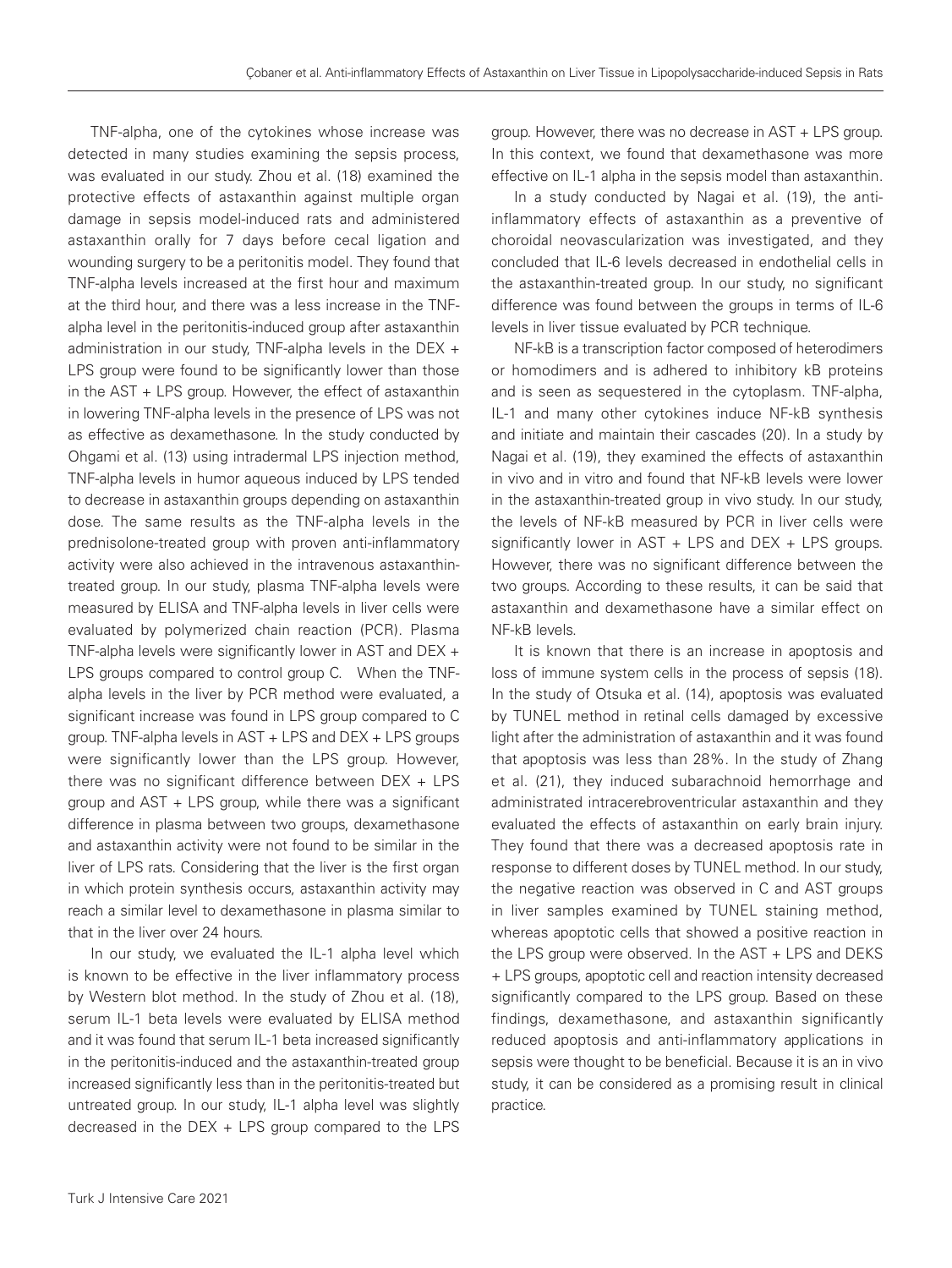TNF-alpha, one of the cytokines whose increase was detected in many studies examining the sepsis process, was evaluated in our study. Zhou et al. (18) examined the protective effects of astaxanthin against multiple organ damage in sepsis model-induced rats and administered astaxanthin orally for 7 days before cecal ligation and wounding surgery to be a peritonitis model. They found that TNF-alpha levels increased at the first hour and maximum at the third hour, and there was a less increase in the TNFalpha level in the peritonitis-induced group after astaxanthin administration in our study, TNF-alpha levels in the DEX + LPS group were found to be significantly lower than those in the AST + LPS group. However, the effect of astaxanthin in lowering TNF-alpha levels in the presence of LPS was not as effective as dexamethasone. In the study conducted by Ohgami et al. (13) using intradermal LPS injection method, TNF-alpha levels in humor aqueous induced by LPS tended to decrease in astaxanthin groups depending on astaxanthin dose. The same results as the TNF-alpha levels in the prednisolone-treated group with proven anti-inflammatory activity were also achieved in the intravenous astaxanthintreated group. In our study, plasma TNF-alpha levels were measured by ELISA and TNF-alpha levels in liver cells were evaluated by polymerized chain reaction (PCR). Plasma TNF-alpha levels were significantly lower in AST and DEX + LPS groups compared to control group C. When the TNFalpha levels in the liver by PCR method were evaluated, a significant increase was found in LPS group compared to C group. TNF-alpha levels in AST + LPS and DEX + LPS groups were significantly lower than the LPS group. However, there was no significant difference between DEX + LPS group and AST + LPS group, while there was a significant difference in plasma between two groups, dexamethasone and astaxanthin activity were not found to be similar in the liver of LPS rats. Considering that the liver is the first organ in which protein synthesis occurs, astaxanthin activity may reach a similar level to dexamethasone in plasma similar to that in the liver over 24 hours.

In our study, we evaluated the IL-1 alpha level which is known to be effective in the liver inflammatory process by Western blot method. In the study of Zhou et al. (18), serum IL-1 beta levels were evaluated by ELISA method and it was found that serum IL-1 beta increased significantly in the peritonitis-induced and the astaxanthin-treated group increased significantly less than in the peritonitis-treated but untreated group. In our study, IL-1 alpha level was slightly decreased in the DEX + LPS group compared to the LPS

group. However, there was no decrease in AST + LPS group. In this context, we found that dexamethasone was more effective on IL-1 alpha in the sepsis model than astaxanthin.

In a study conducted by Nagai et al. (19), the antiinflammatory effects of astaxanthin as a preventive of choroidal neovascularization was investigated, and they concluded that IL-6 levels decreased in endothelial cells in the astaxanthin-treated group. In our study, no significant difference was found between the groups in terms of IL-6 levels in liver tissue evaluated by PCR technique.

NF-kB is a transcription factor composed of heterodimers or homodimers and is adhered to inhibitory kB proteins and is seen as sequestered in the cytoplasm. TNF-alpha, IL-1 and many other cytokines induce NF-kB synthesis and initiate and maintain their cascades (20). In a study by Nagai et al. (19), they examined the effects of astaxanthin in vivo and in vitro and found that NF-kB levels were lower in the astaxanthin-treated group in vivo study. In our study, the levels of NF-kB measured by PCR in liver cells were significantly lower in AST + LPS and DEX + LPS groups. However, there was no significant difference between the two groups. According to these results, it can be said that astaxanthin and dexamethasone have a similar effect on NF-kB levels.

It is known that there is an increase in apoptosis and loss of immune system cells in the process of sepsis (18). In the study of Otsuka et al. (14), apoptosis was evaluated by TUNEL method in retinal cells damaged by excessive light after the administration of astaxanthin and it was found that apoptosis was less than 28%. In the study of Zhang et al. (21), they induced subarachnoid hemorrhage and administrated intracerebroventricular astaxanthin and they evaluated the effects of astaxanthin on early brain injury. They found that there was a decreased apoptosis rate in response to different doses by TUNEL method. In our study, the negative reaction was observed in C and AST groups in liver samples examined by TUNEL staining method, whereas apoptotic cells that showed a positive reaction in the LPS group were observed. In the AST + LPS and DEKS + LPS groups, apoptotic cell and reaction intensity decreased significantly compared to the LPS group. Based on these findings, dexamethasone, and astaxanthin significantly reduced apoptosis and anti-inflammatory applications in sepsis were thought to be beneficial. Because it is an in vivo study, it can be considered as a promising result in clinical practice.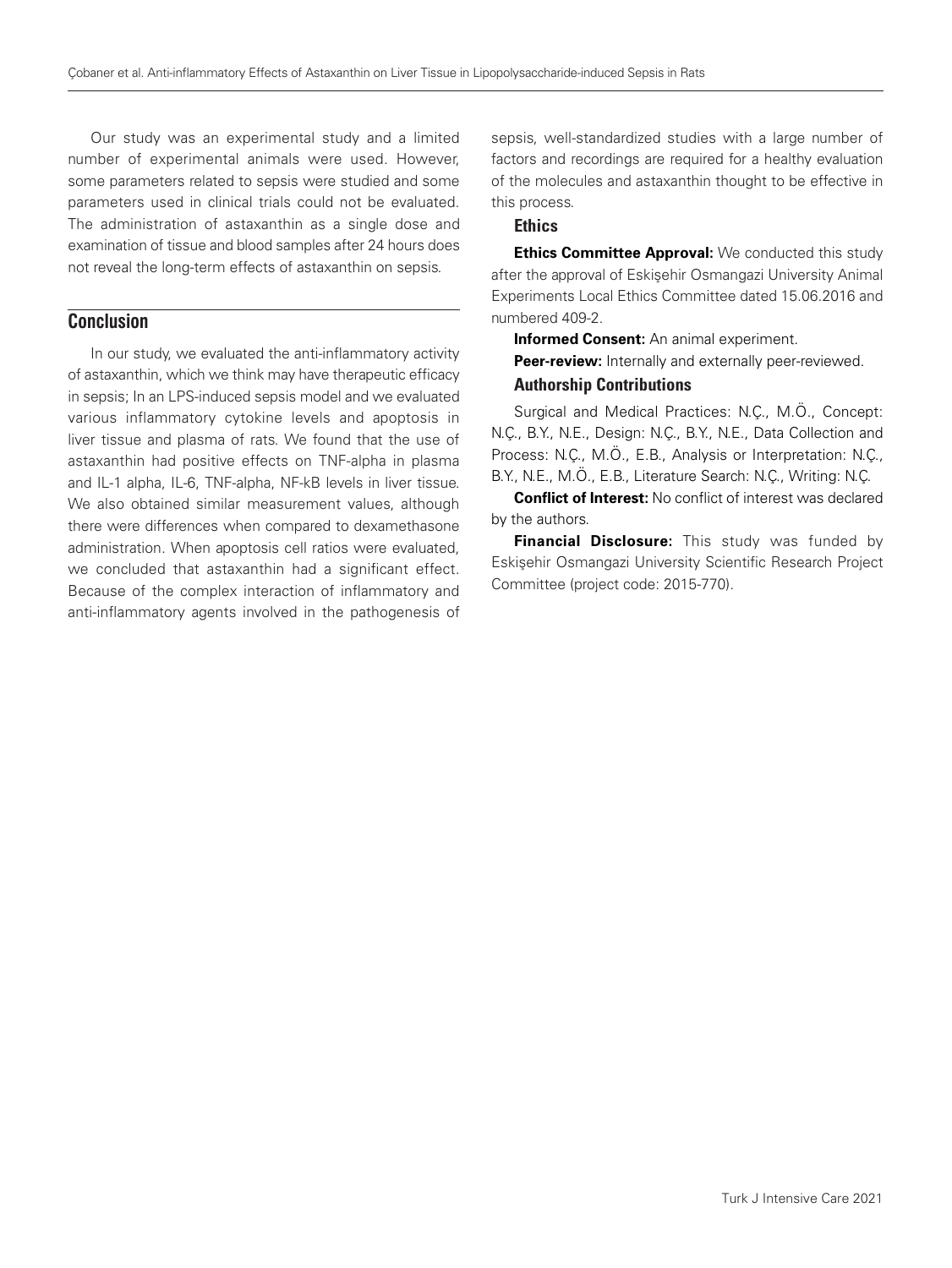Our study was an experimental study and a limited number of experimental animals were used. However, some parameters related to sepsis were studied and some parameters used in clinical trials could not be evaluated. The administration of astaxanthin as a single dose and examination of tissue and blood samples after 24 hours does not reveal the long-term effects of astaxanthin on sepsis.

# **Conclusion**

In our study, we evaluated the anti-inflammatory activity of astaxanthin, which we think may have therapeutic efficacy in sepsis; In an LPS-induced sepsis model and we evaluated various inflammatory cytokine levels and apoptosis in liver tissue and plasma of rats. We found that the use of astaxanthin had positive effects on TNF-alpha in plasma and IL-1 alpha, IL-6, TNF-alpha, NF-kB levels in liver tissue. We also obtained similar measurement values, although there were differences when compared to dexamethasone administration. When apoptosis cell ratios were evaluated, we concluded that astaxanthin had a significant effect. Because of the complex interaction of inflammatory and anti-inflammatory agents involved in the pathogenesis of

sepsis, well-standardized studies with a large number of factors and recordings are required for a healthy evaluation of the molecules and astaxanthin thought to be effective in this process.

# **Ethics**

**Ethics Committee Approval:** We conducted this study after the approval of Eskişehir Osmangazi University Animal Experiments Local Ethics Committee dated 15.06.2016 and numbered 409-2.

**Informed Consent:** An animal experiment.

**Peer-review:** Internally and externally peer-reviewed.

## Authorship Contributions

Surgical and Medical Practices: N.Ç., M.Ö., Concept: N.Ç., B.Y., N.E., Design: N.Ç., B.Y., N.E., Data Collection and Process: N.Ç., M.Ö., E.B., Analysis or Interpretation: N.Ç., B.Y., N.E., M.Ö., E.B., Literature Search: N.Ç., Writing: N.Ç.

**Conflict of Interest:** No conflict of interest was declared by the authors.

**Financial Disclosure:** This study was funded by Eskişehir Osmangazi University Scientific Research Project Committee (project code: 2015-770).